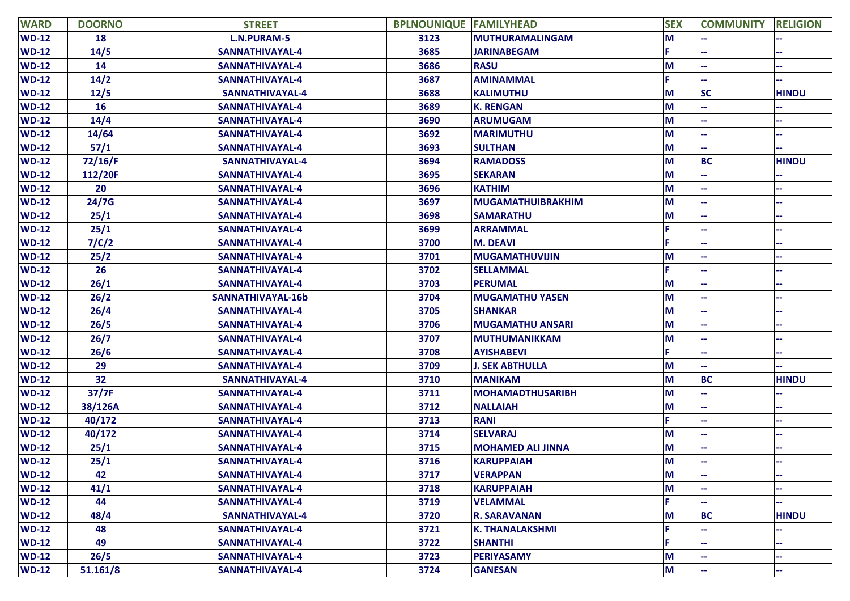| <b>WARD</b>  | <b>DOORNO</b> | <b>STREET</b>      | <b>BPLNOUNIQUE FAMILYHEAD</b> |                          | <b>SEX</b> | <b>COMMUNITY</b> | <b>RELIGION</b> |
|--------------|---------------|--------------------|-------------------------------|--------------------------|------------|------------------|-----------------|
| $WD-12$      | 18            | <b>L.N.PURAM-5</b> | 3123                          | MUTHURAMALINGAM          | M          |                  |                 |
| $WD-12$      | 14/5          | SANNATHIVAYAL-4    | 3685                          | <b>JARINABEGAM</b>       | Е          |                  |                 |
| $WD-12$      | 14            | SANNATHIVAYAL-4    | 3686                          | <b>RASU</b>              | M          |                  |                 |
| $WD-12$      | 14/2          | SANNATHIVAYAL-4    | 3687                          | <b>AMINAMMAL</b>         | F.         |                  |                 |
| $WD-12$      | 12/5          | SANNATHIVAYAL-4    | 3688                          | <b>KALIMUTHU</b>         | M          | <b>SC</b>        | <b>HINDU</b>    |
| $WD-12$      | <b>16</b>     | SANNATHIVAYAL-4    | 3689                          | <b>K. RENGAN</b>         | M          |                  |                 |
| $WD-12$      | 14/4          | SANNATHIVAYAL-4    | 3690                          | <b>ARUMUGAM</b>          | M          |                  |                 |
| $WD-12$      | 14/64         | SANNATHIVAYAL-4    | 3692                          | <b>MARIMUTHU</b>         | M          |                  |                 |
| $WD-12$      | 57/1          | SANNATHIVAYAL-4    | 3693                          | <b>SULTHAN</b>           | M          |                  |                 |
| $WD-12$      | 72/16/F       | SANNATHIVAYAL-4    | 3694                          | <b>RAMADOSS</b>          | M          | <b>BC</b>        | <b>HINDU</b>    |
| $WD-12$      | 112/20F       | SANNATHIVAYAL-4    | 3695                          | <b>SEKARAN</b>           | M          |                  |                 |
| $WD-12$      | 20            | SANNATHIVAYAL-4    | 3696                          | <b>KATHIM</b>            | M          |                  |                 |
| $WD-12$      | 24/7G         | SANNATHIVAYAL-4    | 3697                          | <b>MUGAMATHUIBRAKHIM</b> | M          |                  |                 |
| $WD-12$      | 25/1          | SANNATHIVAYAL-4    | 3698                          | <b>SAMARATHU</b>         | M          |                  |                 |
| $WD-12$      | 25/1          | SANNATHIVAYAL-4    | 3699                          | <b>ARRAMMAL</b>          |            |                  |                 |
| $WD-12$      | 7/C/2         | SANNATHIVAYAL-4    | 3700                          | <b>M. DEAVI</b>          |            |                  |                 |
| $WD-12$      | 25/2          | SANNATHIVAYAL-4    | 3701                          | <b>MUGAMATHUVIJIN</b>    | M          |                  |                 |
| $WD-12$      | 26            | SANNATHIVAYAL-4    | 3702                          | <b>SELLAMMAL</b>         |            |                  |                 |
| $WD-12$      | 26/1          | SANNATHIVAYAL-4    | 3703                          | <b>PERUMAL</b>           | M          |                  |                 |
| $WD-12$      | 26/2          | SANNATHIVAYAL-16b  | 3704                          | <b>MUGAMATHU YASEN</b>   | M          |                  |                 |
| $WD-12$      | 26/4          | SANNATHIVAYAL-4    | 3705                          | <b>SHANKAR</b>           | M          |                  |                 |
| $WD-12$      | 26/5          | SANNATHIVAYAL-4    | 3706                          | <b>MUGAMATHU ANSARI</b>  | M          |                  |                 |
| $WD-12$      | 26/7          | SANNATHIVAYAL-4    | 3707                          | <b>MUTHUMANIKKAM</b>     | M          |                  |                 |
| $WD-12$      | 26/6          | SANNATHIVAYAL-4    | 3708                          | <b>AYISHABEVI</b>        | F.         |                  |                 |
| $WD-12$      | 29            | SANNATHIVAYAL-4    | 3709                          | <b>J. SEK ABTHULLA</b>   | M          |                  |                 |
| $WD-12$      | 32            | SANNATHIVAYAL-4    | 3710                          | <b>MANIKAM</b>           | M          | <b>BC</b>        | <b>HINDU</b>    |
| $WD-12$      | 37/7F         | SANNATHIVAYAL-4    | 3711                          | <b>MOHAMADTHUSARIBH</b>  | M          |                  |                 |
| $WD-12$      | 38/126A       | SANNATHIVAYAL-4    | 3712                          | <b>NALLAIAH</b>          | M          |                  |                 |
| $WD-12$      | 40/172        | SANNATHIVAYAL-4    | 3713                          | <b>RANI</b>              | F.         |                  |                 |
| <b>WD-12</b> | 40/172        | SANNATHIVAYAL-4    | 3714                          | <b>SELVARAJ</b>          | M          |                  |                 |
| $WD-12$      | 25/1          | SANNATHIVAYAL-4    | 3715                          | <b>MOHAMED ALI JINNA</b> | M          |                  |                 |
| $WD-12$      | 25/1          | SANNATHIVAYAL-4    | 3716                          | <b>KARUPPAIAH</b>        | M          |                  |                 |
| $WD-12$      | 42            | SANNATHIVAYAL-4    | 3717                          | <b>VERAPPAN</b>          | M          |                  |                 |
| $WD-12$      | 41/1          | SANNATHIVAYAL-4    | 3718                          | <b>KARUPPAIAH</b>        | M          |                  |                 |
| $WD-12$      | 44            | SANNATHIVAYAL-4    | 3719                          | <b>VELAMMAL</b>          |            |                  |                 |
| $WD-12$      | 48/4          | SANNATHIVAYAL-4    | 3720                          | <b>R. SARAVANAN</b>      | M          | <b>BC</b>        | <b>HINDU</b>    |
| $WD-12$      | 48            | SANNATHIVAYAL-4    | 3721                          | <b>K. THANALAKSHMI</b>   |            |                  |                 |
| $WD-12$      | 49            | SANNATHIVAYAL-4    | 3722                          | <b>SHANTHI</b>           | F.         |                  |                 |
| $WD-12$      | 26/5          | SANNATHIVAYAL-4    | 3723                          | <b>PERIYASAMY</b>        | M          |                  |                 |
| $WD-12$      | 51.161/8      | SANNATHIVAYAL-4    | 3724                          | <b>GANESAN</b>           | M          |                  |                 |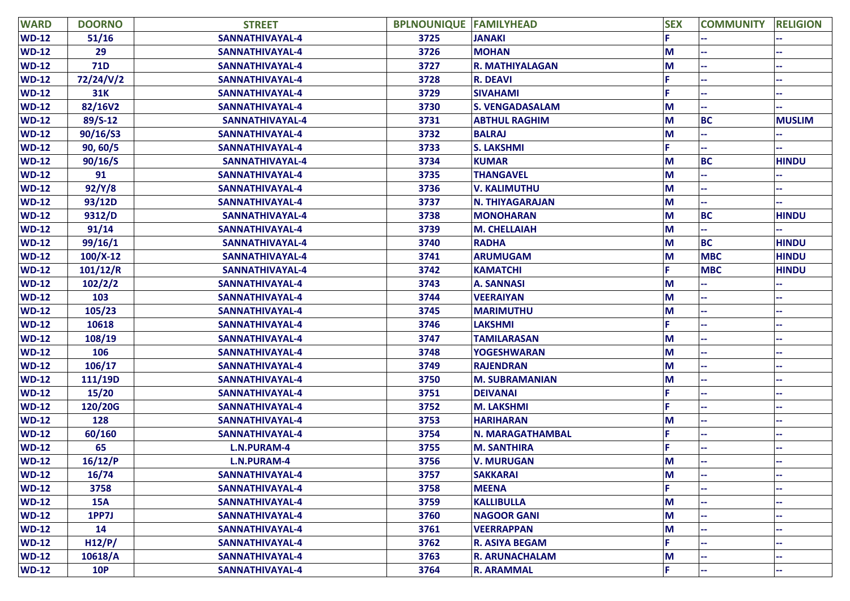| <b>WARD</b> | <b>DOORNO</b> | <b>STREET</b>      | <b>BPLNOUNIQUE FAMILYHEAD</b> |                        | <b>SEX</b> | <b>COMMUNITY</b> | <b>RELIGION</b> |
|-------------|---------------|--------------------|-------------------------------|------------------------|------------|------------------|-----------------|
| $WD-12$     | 51/16         | SANNATHIVAYAL-4    | 3725                          | <b>JANAKI</b>          |            |                  |                 |
| $WD-12$     | 29            | SANNATHIVAYAL-4    | 3726                          | <b>MOHAN</b>           | M          |                  |                 |
| $WD-12$     | <b>71D</b>    | SANNATHIVAYAL-4    | 3727                          | <b>R. MATHIYALAGAN</b> | М          |                  |                 |
| $WD-12$     | 72/24/V/2     | SANNATHIVAYAL-4    | 3728                          | <b>R. DEAVI</b>        |            |                  |                 |
| $WD-12$     | <b>31K</b>    | SANNATHIVAYAL-4    | 3729                          | <b>SIVAHAMI</b>        |            |                  |                 |
| $WD-12$     | 82/16V2       | SANNATHIVAYAL-4    | 3730                          | <b>S. VENGADASALAM</b> | M          |                  |                 |
| $WD-12$     | $89/S-12$     | SANNATHIVAYAL-4    | 3731                          | <b>ABTHUL RAGHIM</b>   | M          | <b>BC</b>        | <b>MUSLIM</b>   |
| $WD-12$     | 90/16/S3      | SANNATHIVAYAL-4    | 3732                          | <b>BALRAJ</b>          | M          |                  |                 |
| $WD-12$     | 90, 60/5      | SANNATHIVAYAL-4    | 3733                          | <b>S. LAKSHMI</b>      |            |                  |                 |
| $WD-12$     | 90/16/S       | SANNATHIVAYAL-4    | 3734                          | <b>KUMAR</b>           | M          | <b>BC</b>        | <b>HINDU</b>    |
| $WD-12$     | 91            | SANNATHIVAYAL-4    | 3735                          | <b>THANGAVEL</b>       | М          |                  |                 |
| $WD-12$     | 92/Y/8        | SANNATHIVAYAL-4    | 3736                          | <b>V. KALIMUTHU</b>    | M          |                  |                 |
| $WD-12$     | 93/12D        | SANNATHIVAYAL-4    | 3737                          | <b>N. THIYAGARAJAN</b> | M          |                  |                 |
| $WD-12$     | 9312/D        | SANNATHIVAYAL-4    | 3738                          | <b>MONOHARAN</b>       | M          | <b>BC</b>        | <b>HINDU</b>    |
| $WD-12$     | 91/14         | SANNATHIVAYAL-4    | 3739                          | <b>M. CHELLAIAH</b>    | М          |                  |                 |
| $WD-12$     | 99/16/1       | SANNATHIVAYAL-4    | 3740                          | <b>RADHA</b>           | M          | <b>BC</b>        | <b>HINDU</b>    |
| $WD-12$     | $100/X-12$    | SANNATHIVAYAL-4    | 3741                          | <b>ARUMUGAM</b>        | M          | <b>MBC</b>       | <b>HINDU</b>    |
| $WD-12$     | 101/12/R      | SANNATHIVAYAL-4    | 3742                          | <b>KAMATCHI</b>        |            | <b>MBC</b>       | <b>HINDU</b>    |
| $WD-12$     | 102/2/2       | SANNATHIVAYAL-4    | 3743                          | <b>A. SANNASI</b>      | М          |                  |                 |
| $WD-12$     | 103           | SANNATHIVAYAL-4    | 3744                          | <b>VEERAIYAN</b>       | М          |                  |                 |
| $WD-12$     | 105/23        | SANNATHIVAYAL-4    | 3745                          | <b>MARIMUTHU</b>       | M          |                  |                 |
| $WD-12$     | 10618         | SANNATHIVAYAL-4    | 3746                          | <b>LAKSHMI</b>         |            |                  |                 |
| $WD-12$     | 108/19        | SANNATHIVAYAL-4    | 3747                          | <b>TAMILARASAN</b>     | М          |                  |                 |
| $WD-12$     | 106           | SANNATHIVAYAL-4    | 3748                          | <b>YOGESHWARAN</b>     | M          |                  |                 |
| $WD-12$     | 106/17        | SANNATHIVAYAL-4    | 3749                          | <b>RAJENDRAN</b>       | M          |                  |                 |
| $WD-12$     | 111/19D       | SANNATHIVAYAL-4    | 3750                          | <b>M. SUBRAMANIAN</b>  | M          |                  |                 |
| $WD-12$     | 15/20         | SANNATHIVAYAL-4    | 3751                          | <b>DEIVANAI</b>        |            |                  |                 |
| $WD-12$     | 120/20G       | SANNATHIVAYAL-4    | 3752                          | <b>M. LAKSHMI</b>      |            |                  |                 |
| $WD-12$     | 128           | SANNATHIVAYAL-4    | 3753                          | <b>HARIHARAN</b>       | М          |                  |                 |
| $WD-12$     | 60/160        | SANNATHIVAYAL-4    | 3754                          | N. MARAGATHAMBAL       |            |                  |                 |
| $WD-12$     | 65            | <b>L.N.PURAM-4</b> | 3755                          | <b>M. SANTHIRA</b>     |            |                  |                 |
| $WD-12$     | 16/12/P       | <b>L.N.PURAM-4</b> | 3756                          | <b>V. MURUGAN</b>      | M          |                  |                 |
| $WD-12$     | 16/74         | SANNATHIVAYAL-4    | 3757                          | <b>SAKKARAI</b>        | M          |                  |                 |
| $WD-12$     | 3758          | SANNATHIVAYAL-4    | 3758                          | <b>MEENA</b>           |            |                  |                 |
| $WD-12$     | <b>15A</b>    | SANNATHIVAYAL-4    | 3759                          | <b>KALLIBULLA</b>      | М          |                  |                 |
| $WD-12$     | 1PP7J         | SANNATHIVAYAL-4    | 3760                          | <b>NAGOOR GANI</b>     | M          |                  |                 |
| $WD-12$     | 14            | SANNATHIVAYAL-4    | 3761                          | <b>VEERRAPPAN</b>      | М          |                  |                 |
| $WD-12$     | H12/P/        | SANNATHIVAYAL-4    | 3762                          | <b>R. ASIYA BEGAM</b>  |            |                  |                 |
| $WD-12$     | 10618/A       | SANNATHIVAYAL-4    | 3763                          | <b>R. ARUNACHALAM</b>  | М          |                  |                 |
| $WD-12$     | <b>10P</b>    | SANNATHIVAYAL-4    | 3764                          | <b>R. ARAMMAL</b>      | F          |                  |                 |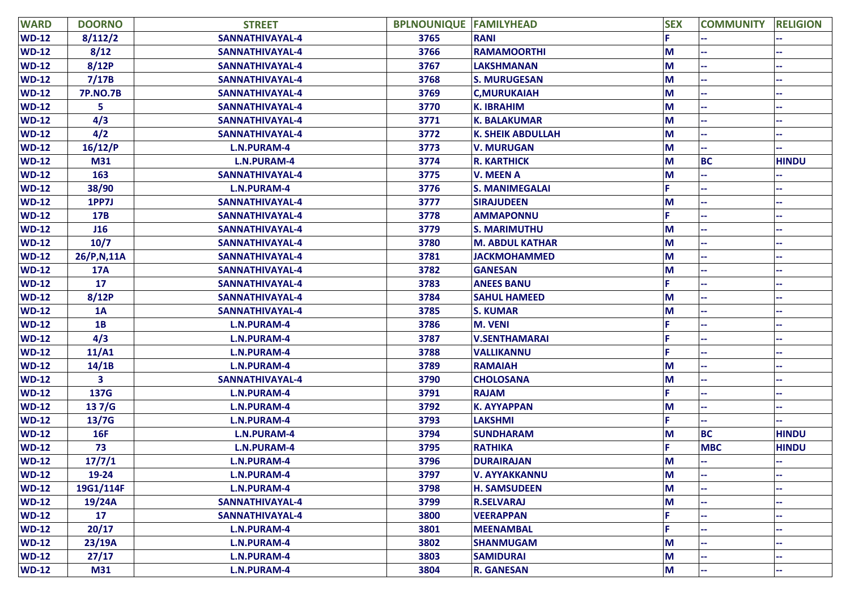| <b>WARD</b>  | <b>DOORNO</b>   | <b>STREET</b>          | <b>BPLNOUNIQUE FAMILYHEAD</b> |                          | <b>SEX</b> | <b>COMMUNITY</b> | <b>RELIGION</b> |
|--------------|-----------------|------------------------|-------------------------------|--------------------------|------------|------------------|-----------------|
| <b>WD-12</b> | 8/112/2         | <b>SANNATHIVAYAL-4</b> | 3765                          | <b>RANI</b>              |            |                  |                 |
| <b>WD-12</b> | 8/12            | SANNATHIVAYAL-4        | 3766                          | <b>RAMAMOORTHI</b>       | M          |                  |                 |
| $WD-12$      | 8/12P           | SANNATHIVAYAL-4        | 3767                          | <b>LAKSHMANAN</b>        | M          |                  |                 |
| $WD-12$      | 7/17B           | SANNATHIVAYAL-4        | 3768                          | <b>S. MURUGESAN</b>      | M          |                  |                 |
| $WD-12$      | <b>7P.NO.7B</b> | SANNATHIVAYAL-4        | 3769                          | <b>C,MURUKAIAH</b>       | M          |                  |                 |
| $WD-12$      | 5               | SANNATHIVAYAL-4        | 3770                          | <b>K. IBRAHIM</b>        | M          |                  |                 |
| $WD-12$      | 4/3             | SANNATHIVAYAL-4        | 3771                          | <b>K. BALAKUMAR</b>      | M          |                  |                 |
| $WD-12$      | 4/2             | SANNATHIVAYAL-4        | 3772                          | <b>K. SHEIK ABDULLAH</b> | M          |                  |                 |
| $WD-12$      | 16/12/P         | <b>L.N.PURAM-4</b>     | 3773                          | <b>V. MURUGAN</b>        | M          |                  |                 |
| $WD-12$      | M31             | <b>L.N.PURAM-4</b>     | 3774                          | <b>R. KARTHICK</b>       | M          | <b>BC</b>        | <b>HINDU</b>    |
| $WD-12$      | 163             | SANNATHIVAYAL-4        | 3775                          | <b>V. MEEN A</b>         | M          |                  |                 |
| $WD-12$      | 38/90           | <b>L.N.PURAM-4</b>     | 3776                          | <b>S. MANIMEGALAI</b>    | F.         |                  |                 |
| $WD-12$      | 1PP7J           | SANNATHIVAYAL-4        | 3777                          | <b>SIRAJUDEEN</b>        | M          |                  |                 |
| $WD-12$      | 17B             | SANNATHIVAYAL-4        | 3778                          | <b>AMMAPONNU</b>         | F.         |                  |                 |
| <b>WD-12</b> | J16             | SANNATHIVAYAL-4        | 3779                          | <b>S. MARIMUTHU</b>      | M          |                  |                 |
| $WD-12$      | 10/7            | SANNATHIVAYAL-4        | 3780                          | <b>M. ABDUL KATHAR</b>   | M          |                  |                 |
| <b>WD-12</b> | 26/P,N,11A      | SANNATHIVAYAL-4        | 3781                          | <b>JACKMOHAMMED</b>      | M          |                  |                 |
| $WD-12$      | <b>17A</b>      | SANNATHIVAYAL-4        | 3782                          | <b>GANESAN</b>           | M          |                  |                 |
| <b>WD-12</b> | 17              | SANNATHIVAYAL-4        | 3783                          | <b>ANEES BANU</b>        |            |                  |                 |
| $WD-12$      | 8/12P           | SANNATHIVAYAL-4        | 3784                          | <b>SAHUL HAMEED</b>      | M          |                  |                 |
| $WD-12$      | 1A              | SANNATHIVAYAL-4        | 3785                          | <b>S. KUMAR</b>          | M          |                  |                 |
| $WD-12$      | 1B              | <b>L.N.PURAM-4</b>     | 3786                          | <b>M. VENI</b>           | F          |                  |                 |
| $WD-12$      | 4/3             | <b>L.N.PURAM-4</b>     | 3787                          | <b>V.SENTHAMARAI</b>     |            |                  |                 |
| $WD-12$      | 11/A1           | <b>L.N.PURAM-4</b>     | 3788                          | <b>VALLIKANNU</b>        |            |                  |                 |
| $WD-12$      | 14/1B           | <b>L.N.PURAM-4</b>     | 3789                          | <b>RAMAIAH</b>           | M          |                  |                 |
| $WD-12$      | 3               | SANNATHIVAYAL-4        | 3790                          | <b>CHOLOSANA</b>         | M          |                  |                 |
| $WD-12$      | 137G            | <b>L.N.PURAM-4</b>     | 3791                          | <b>RAJAM</b>             |            |                  |                 |
| $WD-12$      | 137/G           | <b>L.N.PURAM-4</b>     | 3792                          | <b>K. AYYAPPAN</b>       | M          |                  |                 |
| $WD-12$      | 13/7G           | <b>L.N.PURAM-4</b>     | 3793                          | <b>LAKSHMI</b>           | F.         |                  |                 |
| $WD-12$      | 16F             | <b>L.N.PURAM-4</b>     | 3794                          | <b>SUNDHARAM</b>         | M          | <b>BC</b>        | <b>HINDU</b>    |
| $WD-12$      | 73              | L.N.PURAM-4            | 3795                          | <b>RATHIKA</b>           | F.         | <b>MBC</b>       | <b>HINDU</b>    |
| $WD-12$      | 17/7/1          | <b>L.N.PURAM-4</b>     | 3796                          | <b>DURAIRAJAN</b>        | M          |                  |                 |
| <b>WD-12</b> | 19-24           | <b>L.N.PURAM-4</b>     | 3797                          | <b>V. AYYAKKANNU</b>     | M          | ۰.               |                 |
| $WD-12$      | 19G1/114F       | <b>L.N.PURAM-4</b>     | 3798                          | <b>H. SAMSUDEEN</b>      | M          |                  |                 |
| $WD-12$      | 19/24A          | SANNATHIVAYAL-4        | 3799                          | <b>R.SELVARAJ</b>        | M          |                  |                 |
| $WD-12$      | 17              | SANNATHIVAYAL-4        | 3800                          | <b>VEERAPPAN</b>         | F.         |                  |                 |
| $WD-12$      | 20/17           | L.N.PURAM-4            | 3801                          | <b>MEENAMBAL</b>         | E.         |                  |                 |
| $WD-12$      | 23/19A          | <b>L.N.PURAM-4</b>     | 3802                          | <b>SHANMUGAM</b>         | M          |                  |                 |
| $WD-12$      | 27/17           | <b>L.N.PURAM-4</b>     | 3803                          | <b>SAMIDURAI</b>         | M          |                  |                 |
| $WD-12$      | <b>M31</b>      | L.N.PURAM-4            | 3804                          | <b>R. GANESAN</b>        | M          |                  |                 |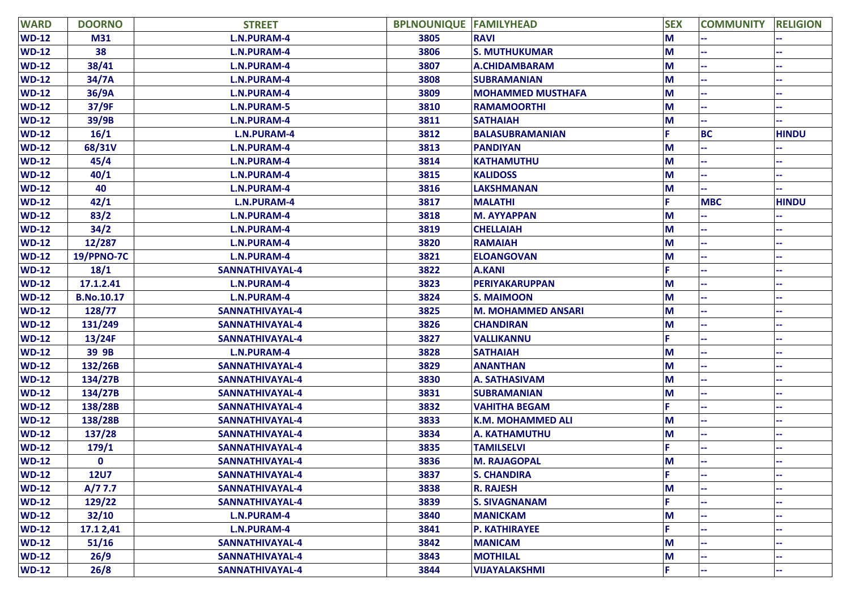| <b>WARD</b>  | <b>DOORNO</b>     | <b>STREET</b>      | <b>BPLNOUNIQUE FAMILYHEAD</b> |                           | <b>SEX</b> | <b>COMMUNITY</b> | <b>RELIGION</b> |
|--------------|-------------------|--------------------|-------------------------------|---------------------------|------------|------------------|-----------------|
| <b>WD-12</b> | M31               | <b>L.N.PURAM-4</b> | 3805                          | <b>RAVI</b>               | M          |                  |                 |
| $WD-12$      | 38                | <b>L.N.PURAM-4</b> | 3806                          | <b>S. MUTHUKUMAR</b>      | M          |                  |                 |
| $WD-12$      | 38/41             | <b>L.N.PURAM-4</b> | 3807                          | <b>A.CHIDAMBARAM</b>      | M          |                  |                 |
| $WD-12$      | 34/7A             | <b>L.N.PURAM-4</b> | 3808                          | <b>SUBRAMANIAN</b>        | M          |                  |                 |
| $WD-12$      | 36/9A             | <b>L.N.PURAM-4</b> | 3809                          | <b>MOHAMMED MUSTHAFA</b>  | M          |                  |                 |
| $WD-12$      | 37/9F             | <b>L.N.PURAM-5</b> | 3810                          | <b>RAMAMOORTHI</b>        | M          |                  |                 |
| $WD-12$      | 39/9B             | <b>L.N.PURAM-4</b> | 3811                          | <b>SATHAIAH</b>           | M          |                  |                 |
| $WD-12$      | 16/1              | L.N.PURAM-4        | 3812                          | <b>BALASUBRAMANIAN</b>    | F.         | <b>BC</b>        | <b>HINDU</b>    |
| $WD-12$      | 68/31V            | <b>L.N.PURAM-4</b> | 3813                          | <b>PANDIYAN</b>           | M          |                  |                 |
| $WD-12$      | 45/4              | <b>L.N.PURAM-4</b> | 3814                          | <b>KATHAMUTHU</b>         | M          |                  |                 |
| $WD-12$      | 40/1              | <b>L.N.PURAM-4</b> | 3815                          | <b>KALIDOSS</b>           | M          |                  |                 |
| $WD-12$      | 40                | <b>L.N.PURAM-4</b> | 3816                          | <b>LAKSHMANAN</b>         | M          |                  |                 |
| $WD-12$      | 42/1              | L.N.PURAM-4        | 3817                          | <b>MALATHI</b>            | F.         | <b>MBC</b>       | <b>HINDU</b>    |
| $WD-12$      | 83/2              | <b>L.N.PURAM-4</b> | 3818                          | <b>M. AYYAPPAN</b>        | M          |                  |                 |
| $WD-12$      | 34/2              | <b>L.N.PURAM-4</b> | 3819                          | <b>CHELLAIAH</b>          | M          |                  |                 |
| $WD-12$      | 12/287            | <b>L.N.PURAM-4</b> | 3820                          | <b>RAMAIAH</b>            | M          |                  |                 |
| $WD-12$      | <b>19/PPNO-7C</b> | <b>L.N.PURAM-4</b> | 3821                          | <b>ELOANGOVAN</b>         | M          |                  |                 |
| $WD-12$      | 18/1              | SANNATHIVAYAL-4    | 3822                          | <b>A.KANI</b>             | F.         |                  |                 |
| $WD-12$      | 17.1.2.41         | <b>L.N.PURAM-4</b> | 3823                          | <b>PERIYAKARUPPAN</b>     | M          |                  |                 |
| $WD-12$      | <b>B.No.10.17</b> | <b>L.N.PURAM-4</b> | 3824                          | <b>S. MAIMOON</b>         | M          |                  |                 |
| $WD-12$      | 128/77            | SANNATHIVAYAL-4    | 3825                          | <b>M. MOHAMMED ANSARI</b> | M          |                  |                 |
| $WD-12$      | 131/249           | SANNATHIVAYAL-4    | 3826                          | <b>CHANDIRAN</b>          | M          |                  |                 |
| $WD-12$      | 13/24F            | SANNATHIVAYAL-4    | 3827                          | <b>VALLIKANNU</b>         | F          |                  |                 |
| $WD-12$      | 39 9B             | <b>L.N.PURAM-4</b> | 3828                          | <b>SATHAIAH</b>           | M          |                  |                 |
| $WD-12$      | 132/26B           | SANNATHIVAYAL-4    | 3829                          | <b>ANANTHAN</b>           | M          |                  |                 |
| $WD-12$      | 134/27B           | SANNATHIVAYAL-4    | 3830                          | <b>A. SATHASIVAM</b>      | M          |                  |                 |
| $WD-12$      | 134/27B           | SANNATHIVAYAL-4    | 3831                          | <b>SUBRAMANIAN</b>        | M          |                  |                 |
| $WD-12$      | 138/28B           | SANNATHIVAYAL-4    | 3832                          | <b>VAHITHA BEGAM</b>      | F.         |                  |                 |
| $WD-12$      | 138/28B           | SANNATHIVAYAL-4    | 3833                          | <b>K.M. MOHAMMED ALI</b>  | M          |                  |                 |
| $WD-12$      | 137/28            | SANNATHIVAYAL-4    | 3834                          | <b>A. KATHAMUTHU</b>      | M          |                  |                 |
| $WD-12$      | 179/1             | SANNATHIVAYAL-4    | 3835                          | <b>TAMILSELVI</b>         |            |                  |                 |
| $WD-12$      | $\mathbf 0$       | SANNATHIVAYAL-4    | 3836                          | <b>M. RAJAGOPAL</b>       | M          |                  |                 |
| $WD-12$      | <b>12U7</b>       | SANNATHIVAYAL-4    | 3837                          | <b>S. CHANDIRA</b>        | F          |                  |                 |
| $WD-12$      | A/77.7            | SANNATHIVAYAL-4    | 3838                          | <b>R. RAJESH</b>          | M          |                  |                 |
| $WD-12$      | 129/22            | SANNATHIVAYAL-4    | 3839                          | <b>S. SIVAGNANAM</b>      | F.         |                  |                 |
| $WD-12$      | 32/10             | <b>L.N.PURAM-4</b> | 3840                          | <b>MANICKAM</b>           | M          |                  |                 |
| $WD-12$      | 17.1 2,41         | <b>L.N.PURAM-4</b> | 3841                          | <b>P. KATHIRAYEE</b>      | F.         |                  |                 |
| $WD-12$      | 51/16             | SANNATHIVAYAL-4    | 3842                          | <b>MANICAM</b>            | M          |                  |                 |
| $WD-12$      | 26/9              | SANNATHIVAYAL-4    | 3843                          | <b>MOTHILAL</b>           | M          |                  |                 |
| $WD-12$      | 26/8              | SANNATHIVAYAL-4    | 3844                          | <b>VIJAYALAKSHMI</b>      | F.         |                  |                 |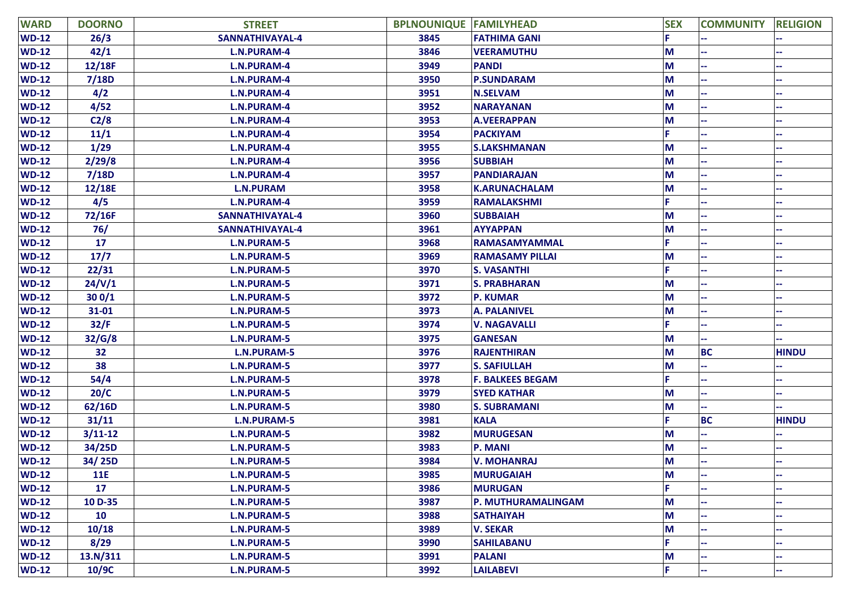| <b>WARD</b>  | <b>DOORNO</b> | <b>STREET</b>      | <b>BPLNOUNIQUE FAMILYHEAD</b> |                         | <b>SEX</b> | <b>COMMUNITY</b> | <b>RELIGION</b> |
|--------------|---------------|--------------------|-------------------------------|-------------------------|------------|------------------|-----------------|
| $WD-12$      | 26/3          | SANNATHIVAYAL-4    | 3845                          | <b>FATHIMA GANI</b>     |            |                  |                 |
| $WD-12$      | 42/1          | L.N.PURAM-4        | 3846                          | <b>VEERAMUTHU</b>       | M          |                  |                 |
| $WD-12$      | 12/18F        | <b>L.N.PURAM-4</b> | 3949                          | <b>PANDI</b>            | M          |                  |                 |
| <b>WD-12</b> | 7/18D         | L.N.PURAM-4        | 3950                          | <b>P.SUNDARAM</b>       | M          |                  |                 |
| $WD-12$      | 4/2           | L.N.PURAM-4        | 3951                          | <b>N.SELVAM</b>         | M          |                  |                 |
| $WD-12$      | 4/52          | <b>L.N.PURAM-4</b> | 3952                          | <b>NARAYANAN</b>        | M          |                  |                 |
| <b>WD-12</b> | C2/8          | <b>L.N.PURAM-4</b> | 3953                          | <b>A.VEERAPPAN</b>      | M          |                  |                 |
| $WD-12$      | 11/1          | L.N.PURAM-4        | 3954                          | <b>PACKIYAM</b>         |            |                  |                 |
| $WD-12$      | 1/29          | <b>L.N.PURAM-4</b> | 3955                          | <b>S.LAKSHMANAN</b>     | M          |                  |                 |
| <b>WD-12</b> | 2/29/8        | L.N.PURAM-4        | 3956                          | <b>SUBBIAH</b>          | M          |                  |                 |
| $WD-12$      | 7/18D         | <b>L.N.PURAM-4</b> | 3957                          | <b>PANDIARAJAN</b>      | M          |                  |                 |
| <b>WD-12</b> | 12/18E        | <b>L.N.PURAM</b>   | 3958                          | <b>K.ARUNACHALAM</b>    | M          |                  |                 |
| $WD-12$      | 4/5           | L.N.PURAM-4        | 3959                          | <b>RAMALAKSHMI</b>      |            |                  |                 |
| $WD-12$      | 72/16F        | SANNATHIVAYAL-4    | 3960                          | <b>SUBBAIAH</b>         | M          |                  |                 |
| $WD-12$      | 76/           | SANNATHIVAYAL-4    | 3961                          | <b>AYYAPPAN</b>         | M          |                  |                 |
| $WD-12$      | 17            | <b>L.N.PURAM-5</b> | 3968                          | RAMASAMYAMMAL           |            |                  |                 |
| $WD-12$      | 17/7          | <b>L.N.PURAM-5</b> | 3969                          | <b>RAMASAMY PILLAI</b>  | M          |                  |                 |
| <b>WD-12</b> | 22/31         | <b>L.N.PURAM-5</b> | 3970                          | <b>S. VASANTHI</b>      |            |                  |                 |
| <b>WD-12</b> | 24/V/1        | <b>L.N.PURAM-5</b> | 3971                          | <b>S. PRABHARAN</b>     | M          |                  |                 |
| $WD-12$      | 300/1         | <b>L.N.PURAM-5</b> | 3972                          | <b>P. KUMAR</b>         | M          |                  | --              |
| $WD-12$      | $31 - 01$     | <b>L.N.PURAM-5</b> | 3973                          | <b>A. PALANIVEL</b>     | M          |                  |                 |
| $WD-12$      | 32/F          | <b>L.N.PURAM-5</b> | 3974                          | <b>V. NAGAVALLI</b>     |            |                  |                 |
| $WD-12$      | 32/G/8        | <b>L.N.PURAM-5</b> | 3975                          | <b>GANESAN</b>          | M          |                  |                 |
| $WD-12$      | 32            | <b>L.N.PURAM-5</b> | 3976                          | <b>RAJENTHIRAN</b>      | M          | <b>BC</b>        | <b>HINDU</b>    |
| $WD-12$      | 38            | <b>L.N.PURAM-5</b> | 3977                          | <b>S. SAFIULLAH</b>     | M          |                  |                 |
| $WD-12$      | 54/4          | <b>L.N.PURAM-5</b> | 3978                          | <b>F. BALKEES BEGAM</b> |            |                  |                 |
| $WD-12$      | 20/C          | <b>L.N.PURAM-5</b> | 3979                          | <b>SYED KATHAR</b>      | M          |                  |                 |
| <b>WD-12</b> | 62/16D        | <b>L.N.PURAM-5</b> | 3980                          | <b>S. SUBRAMANI</b>     | M          |                  |                 |
| $WD-12$      | 31/11         | <b>L.N.PURAM-5</b> | 3981                          | <b>KALA</b>             | Е          | <b>BC</b>        | <b>HINDU</b>    |
| <b>WD-12</b> | $3/11-12$     | <b>L.N.PURAM-5</b> | 3982                          | <b>MURUGESAN</b>        | M          |                  |                 |
| $WD-12$      | 34/25D        | <b>L.N.PURAM-5</b> | 3983                          | P. MANI                 | M          |                  |                 |
| $WD-12$      | 34/25D        | <b>L.N.PURAM-5</b> | 3984                          | <b>V. MOHANRAJ</b>      | M          |                  |                 |
| $WD-12$      | <b>11E</b>    | <b>L.N.PURAM-5</b> | 3985                          | <b>MURUGAIAH</b>        | M          |                  | ۰.              |
| $WD-12$      | 17            | <b>L.N.PURAM-5</b> | 3986                          | <b>MURUGAN</b>          | È.         |                  |                 |
| $WD-12$      | 10 D-35       | <b>L.N.PURAM-5</b> | 3987                          | P. MUTHURAMALINGAM      | M          |                  |                 |
| $WD-12$      | 10            | <b>L.N.PURAM-5</b> | 3988                          | <b>SATHAIYAH</b>        | M          |                  |                 |
| $WD-12$      | 10/18         | <b>L.N.PURAM-5</b> | 3989                          | <b>V. SEKAR</b>         | M          |                  |                 |
| $WD-12$      | 8/29          | <b>L.N.PURAM-5</b> | 3990                          | <b>SAHILABANU</b>       |            |                  |                 |
| $WD-12$      | 13.N/311      | <b>L.N.PURAM-5</b> | 3991                          | <b>PALANI</b>           | M          |                  |                 |
| $WD-12$      | 10/9C         | <b>L.N.PURAM-5</b> | 3992                          | <b>LAILABEVI</b>        | F.         | ÷                | μ.              |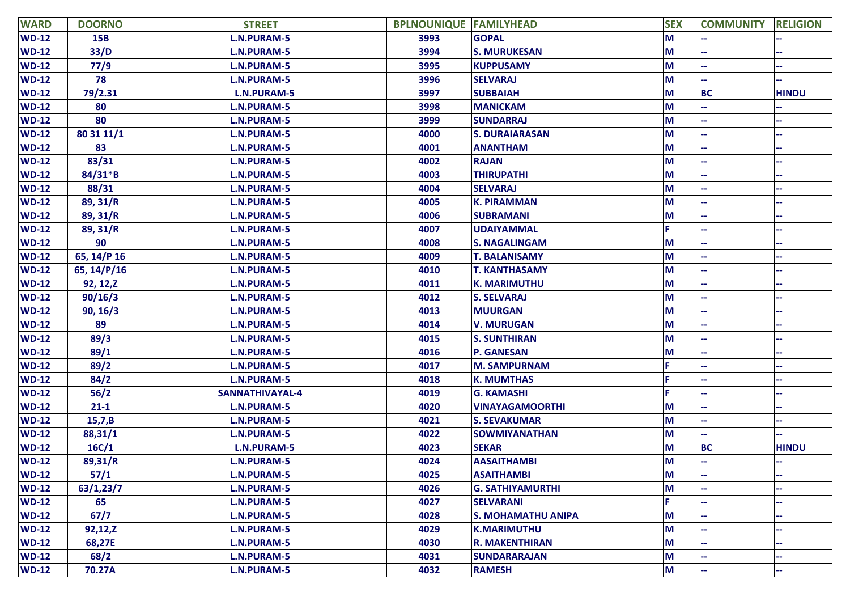| <b>WARD</b>  | <b>DOORNO</b> | <b>STREET</b>      | <b>BPLNOUNIQUE FAMILYHEAD</b> |                           | <b>SEX</b> | <b>COMMUNITY</b> | <b>RELIGION</b> |
|--------------|---------------|--------------------|-------------------------------|---------------------------|------------|------------------|-----------------|
| $WD-12$      | <b>15B</b>    | <b>L.N.PURAM-5</b> | 3993                          | <b>GOPAL</b>              | M          |                  |                 |
| $WD-12$      | 33/D          | <b>L.N.PURAM-5</b> | 3994                          | <b>S. MURUKESAN</b>       | M          |                  |                 |
| <b>WD-12</b> | 77/9          | <b>L.N.PURAM-5</b> | 3995                          | <b>KUPPUSAMY</b>          | M          |                  |                 |
| $WD-12$      | 78            | <b>L.N.PURAM-5</b> | 3996                          | <b>SELVARAJ</b>           | M          |                  |                 |
| <b>WD-12</b> | 79/2.31       | <b>L.N.PURAM-5</b> | 3997                          | <b>SUBBAIAH</b>           | M          | <b>BC</b>        | <b>HINDU</b>    |
| $WD-12$      | 80            | <b>L.N.PURAM-5</b> | 3998                          | <b>MANICKAM</b>           | M          |                  |                 |
| $WD-12$      | 80            | <b>L.N.PURAM-5</b> | 3999                          | <b>SUNDARRAJ</b>          | M          |                  |                 |
| $WD-12$      | 80 31 11/1    | <b>L.N.PURAM-5</b> | 4000                          | <b>S. DURAIARASAN</b>     | M          |                  |                 |
| $WD-12$      | 83            | <b>L.N.PURAM-5</b> | 4001                          | <b>ANANTHAM</b>           | M          |                  |                 |
| $WD-12$      | 83/31         | <b>L.N.PURAM-5</b> | 4002                          | <b>RAJAN</b>              | M          |                  |                 |
| $WD-12$      | $84/31*B$     | <b>L.N.PURAM-5</b> | 4003                          | <b>THIRUPATHI</b>         | M          |                  |                 |
| <b>WD-12</b> | 88/31         | <b>L.N.PURAM-5</b> | 4004                          | <b>SELVARAJ</b>           | M          |                  | --              |
| <b>WD-12</b> | 89, 31/R      | <b>L.N.PURAM-5</b> | 4005                          | <b>K. PIRAMMAN</b>        | M          |                  |                 |
| <b>WD-12</b> | 89, 31/R      | <b>L.N.PURAM-5</b> | 4006                          | <b>SUBRAMANI</b>          | M          |                  |                 |
| <b>WD-12</b> | 89, 31/R      | <b>L.N.PURAM-5</b> | 4007                          | <b>UDAIYAMMAL</b>         |            |                  |                 |
| $WD-12$      | 90            | <b>L.N.PURAM-5</b> | 4008                          | <b>S. NAGALINGAM</b>      | M          |                  |                 |
| <b>WD-12</b> | 65, 14/P 16   | <b>L.N.PURAM-5</b> | 4009                          | <b>T. BALANISAMY</b>      | M          |                  |                 |
| <b>WD-12</b> | 65, 14/P/16   | <b>L.N.PURAM-5</b> | 4010                          | <b>T. KANTHASAMY</b>      | M          |                  |                 |
| <b>WD-12</b> | 92, 12, Z     | <b>L.N.PURAM-5</b> | 4011                          | <b>K. MARIMUTHU</b>       | M          |                  |                 |
| <b>WD-12</b> | 90/16/3       | <b>L.N.PURAM-5</b> | 4012                          | <b>S. SELVARAJ</b>        | M          |                  | --              |
| $WD-12$      | 90, 16/3      | <b>L.N.PURAM-5</b> | 4013                          | <b>MUURGAN</b>            | M          |                  |                 |
| $WD-12$      | 89            | <b>L.N.PURAM-5</b> | 4014                          | <b>V. MURUGAN</b>         | M          |                  |                 |
| $WD-12$      | 89/3          | <b>L.N.PURAM-5</b> | 4015                          | <b>S. SUNTHIRAN</b>       | M          |                  |                 |
| $WD-12$      | 89/1          | <b>L.N.PURAM-5</b> | 4016                          | <b>P. GANESAN</b>         | M          |                  |                 |
| $WD-12$      | 89/2          | <b>L.N.PURAM-5</b> | 4017                          | <b>M. SAMPURNAM</b>       |            |                  |                 |
| $WD-12$      | 84/2          | <b>L.N.PURAM-5</b> | 4018                          | <b>K. MUMTHAS</b>         |            |                  |                 |
| $WD-12$      | 56/2          | SANNATHIVAYAL-4    | 4019                          | <b>G. KAMASHI</b>         |            |                  |                 |
| $WD-12$      | $21 - 1$      | <b>L.N.PURAM-5</b> | 4020                          | <b>VINAYAGAMOORTHI</b>    | M          |                  | μ.              |
| $WD-12$      | 15,7,B        | <b>L.N.PURAM-5</b> | 4021                          | <b>S. SEVAKUMAR</b>       | M          |                  |                 |
| <b>WD-12</b> | 88,31/1       | <b>L.N.PURAM-5</b> | 4022                          | <b>SOWMIYANATHAN</b>      | M          |                  |                 |
| $WD-12$      | 16C/1         | <b>L.N.PURAM-5</b> | 4023                          | <b>SEKAR</b>              | M          | <b>BC</b>        | <b>HINDU</b>    |
| $WD-12$      | 89,31/R       | <b>L.N.PURAM-5</b> | 4024                          | <b>AASAITHAMBI</b>        | M          |                  |                 |
| $WD-12$      | 57/1          | <b>L.N.PURAM-5</b> | 4025                          | <b>ASAITHAMBI</b>         | M          |                  |                 |
| $WD-12$      | 63/1,23/7     | <b>L.N.PURAM-5</b> | 4026                          | <b>G. SATHIYAMURTHI</b>   | M          |                  |                 |
| $WD-12$      | 65            | <b>L.N.PURAM-5</b> | 4027                          | <b>SELVARANI</b>          |            |                  |                 |
| $WD-12$      | 67/7          | <b>L.N.PURAM-5</b> | 4028                          | <b>S. MOHAMATHU ANIPA</b> | M          |                  |                 |
| $WD-12$      | 92,12,Z       | <b>L.N.PURAM-5</b> | 4029                          | <b>K.MARIMUTHU</b>        | M          |                  |                 |
| $WD-12$      | 68,27E        | <b>L.N.PURAM-5</b> | 4030                          | <b>R. MAKENTHIRAN</b>     | M          |                  |                 |
| $WD-12$      | 68/2          | <b>L.N.PURAM-5</b> | 4031                          | <b>SUNDARARAJAN</b>       | M          |                  |                 |
| $WD-12$      | 70.27A        | <b>L.N.PURAM-5</b> | 4032                          | <b>RAMESH</b>             | M          |                  | μ.              |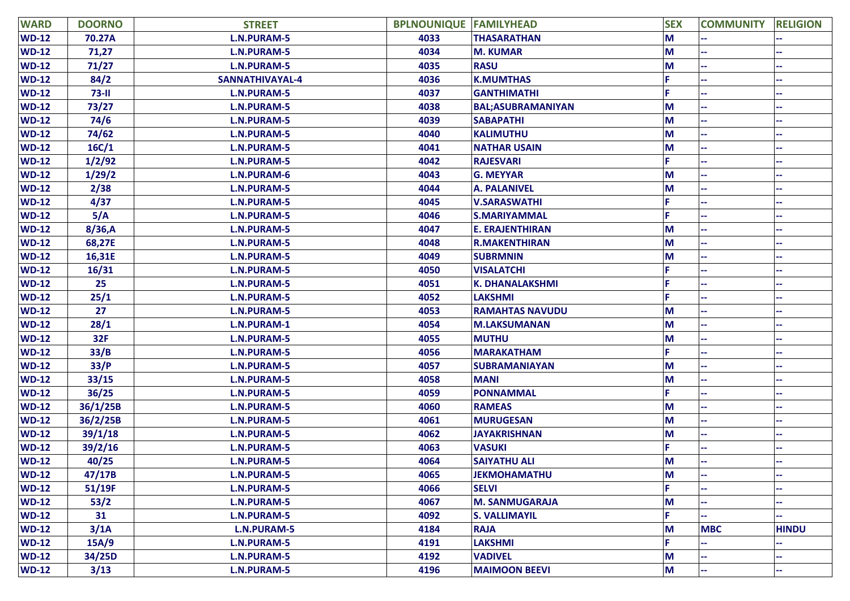| <b>WARD</b>  | <b>DOORNO</b> | <b>STREET</b>      | <b>BPLNOUNIQUE FAMILYHEAD</b> |                          | <b>SEX</b> | <b>COMMUNITY</b> | <b>RELIGION</b> |
|--------------|---------------|--------------------|-------------------------------|--------------------------|------------|------------------|-----------------|
| <b>WD-12</b> | 70.27A        | <b>L.N.PURAM-5</b> | 4033                          | <b>THASARATHAN</b>       | M          |                  |                 |
| <b>WD-12</b> | 71,27         | <b>L.N.PURAM-5</b> | 4034                          | <b>M. KUMAR</b>          | M          |                  |                 |
| $WD-12$      | 71/27         | <b>L.N.PURAM-5</b> | 4035                          | <b>RASU</b>              | M          |                  |                 |
| $WD-12$      | 84/2          | SANNATHIVAYAL-4    | 4036                          | <b>K.MUMTHAS</b>         | F.         |                  |                 |
| $WD-12$      | $73 - 11$     | <b>L.N.PURAM-5</b> | 4037                          | <b>GANTHIMATHI</b>       |            |                  |                 |
| $WD-12$      | 73/27         | <b>L.N.PURAM-5</b> | 4038                          | <b>BAL;ASUBRAMANIYAN</b> | М          |                  |                 |
| $WD-12$      | 74/6          | <b>L.N.PURAM-5</b> | 4039                          | <b>SABAPATHI</b>         | M          |                  |                 |
| $WD-12$      | 74/62         | <b>L.N.PURAM-5</b> | 4040                          | <b>KALIMUTHU</b>         | M          |                  |                 |
| $WD-12$      | 16C/1         | <b>L.N.PURAM-5</b> | 4041                          | <b>NATHAR USAIN</b>      | M          |                  |                 |
| <b>WD-12</b> | 1/2/92        | <b>L.N.PURAM-5</b> | 4042                          | <b>RAJESVARI</b>         | F.         |                  |                 |
| $WD-12$      | 1/29/2        | <b>L.N.PURAM-6</b> | 4043                          | <b>G. MEYYAR</b>         | M          |                  |                 |
| $WD-12$      | 2/38          | L.N.PURAM-5        | 4044                          | <b>A. PALANIVEL</b>      | M          |                  |                 |
| $WD-12$      | 4/37          | <b>L.N.PURAM-5</b> | 4045                          | <b>V.SARASWATHI</b>      |            |                  |                 |
| $WD-12$      | 5/A           | <b>L.N.PURAM-5</b> | 4046                          | <b>S.MARIYAMMAL</b>      | F.         |                  |                 |
| $WD-12$      | 8/36, A       | <b>L.N.PURAM-5</b> | 4047                          | <b>E. ERAJENTHIRAN</b>   | M          |                  |                 |
| $WD-12$      | 68,27E        | <b>L.N.PURAM-5</b> | 4048                          | <b>R.MAKENTHIRAN</b>     | М          |                  |                 |
| $WD-12$      | 16,31E        | <b>L.N.PURAM-5</b> | 4049                          | <b>SUBRMNIN</b>          | М          |                  |                 |
| <b>WD-12</b> | 16/31         | <b>L.N.PURAM-5</b> | 4050                          | <b>VISALATCHI</b>        |            |                  |                 |
| $WD-12$      | 25            | <b>L.N.PURAM-5</b> | 4051                          | <b>K. DHANALAKSHMI</b>   |            |                  |                 |
| $WD-12$      | 25/1          | L.N.PURAM-5        | 4052                          | <b>LAKSHMI</b>           |            |                  |                 |
| $WD-12$      | 27            | <b>L.N.PURAM-5</b> | 4053                          | <b>RAMAHTAS NAVUDU</b>   | M          |                  |                 |
| $WD-12$      | 28/1          | <b>L.N.PURAM-1</b> | 4054                          | <b>M.LAKSUMANAN</b>      | M          |                  |                 |
| $WD-12$      | 32F           | <b>L.N.PURAM-5</b> | 4055                          | <b>MUTHU</b>             | M          |                  |                 |
| $WD-12$      | 33/B          | <b>L.N.PURAM-5</b> | 4056                          | <b>MARAKATHAM</b>        | F.         |                  |                 |
| $WD-12$      | 33/P          | <b>L.N.PURAM-5</b> | 4057                          | <b>SUBRAMANIAYAN</b>     | M          |                  |                 |
| <b>WD-12</b> | 33/15         | <b>L.N.PURAM-5</b> | 4058                          | <b>MANI</b>              | M          |                  |                 |
| <b>WD-12</b> | 36/25         | <b>L.N.PURAM-5</b> | 4059                          | <b>PONNAMMAL</b>         |            |                  |                 |
| $WD-12$      | 36/1/25B      | <b>L.N.PURAM-5</b> | 4060                          | <b>RAMEAS</b>            | M          |                  |                 |
| $WD-12$      | 36/2/25B      | <b>L.N.PURAM-5</b> | 4061                          | <b>MURUGESAN</b>         | M          |                  |                 |
| <b>WD-12</b> | 39/1/18       | <b>L.N.PURAM-5</b> | 4062                          | <b>JAYAKRISHNAN</b>      | M          |                  |                 |
| $WD-12$      | 39/2/16       | <b>L.N.PURAM-5</b> | 4063                          | <b>VASUKI</b>            |            |                  |                 |
| <b>WD-12</b> | 40/25         | <b>L.N.PURAM-5</b> | 4064                          | <b>SAIYATHU ALI</b>      | M          |                  |                 |
| $WD-12$      | 47/17B        | <b>L.N.PURAM-5</b> | 4065                          | <b>JEKMOHAMATHU</b>      | M          |                  |                 |
| $WD-12$      | 51/19F        | <b>L.N.PURAM-5</b> | 4066                          | <b>SELVI</b>             | F.         |                  |                 |
| $WD-12$      | 53/2          | <b>L.N.PURAM-5</b> | 4067                          | <b>M. SANMUGARAJA</b>    | M          |                  |                 |
| $WD-12$      | 31            | <b>L.N.PURAM-5</b> | 4092                          | <b>S. VALLIMAYIL</b>     | F.         |                  |                 |
| $WD-12$      | 3/1A          | <b>L.N.PURAM-5</b> | 4184                          | <b>RAJA</b>              | M          | <b>MBC</b>       | <b>HINDU</b>    |
| $WD-12$      | 15A/9         | <b>L.N.PURAM-5</b> | 4191                          | <b>LAKSHMI</b>           | F.         |                  |                 |
| $WD-12$      | 34/25D        | <b>L.N.PURAM-5</b> | 4192                          | <b>VADIVEL</b>           | M          |                  |                 |
| $WD-12$      | 3/13          | <b>L.N.PURAM-5</b> | 4196                          | <b>MAIMOON BEEVI</b>     | M          |                  |                 |